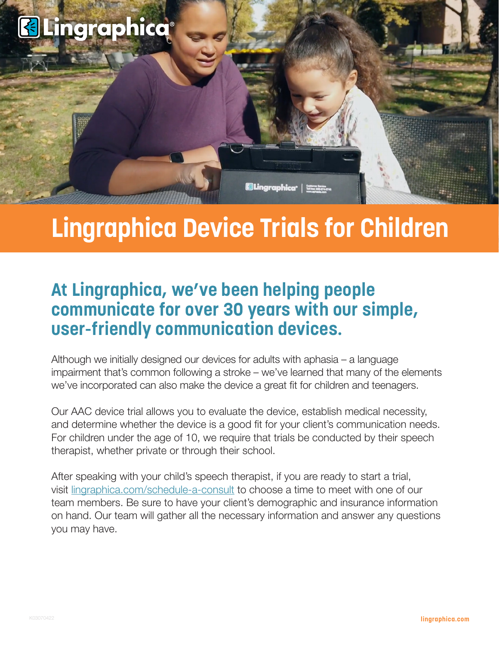

# **Lingraphica Device Trials for Children**

## **At Lingraphica, we've been helping people communicate for over 30 years with our simple, user-friendly communication devices.**

Although we initially designed our devices for adults with aphasia – a language impairment that's common following a stroke – we've learned that many of the elements we've incorporated can also make the device a great fit for children and teenagers.

Our AAC device trial allows you to evaluate the device, establish medical necessity, and determine whether the device is a good fit for your client's communication needs. For children under the age of 10, we require that trials be conducted by their speech therapist, whether private or through their school.

After speaking with your child's speech therapist, if you are ready to start a trial, visit <lingraphica.com/schedule-a-consult>to choose a time to meet with one of our team members. Be sure to have your client's demographic and insurance information on hand. Our team will gather all the necessary information and answer any questions you may have.